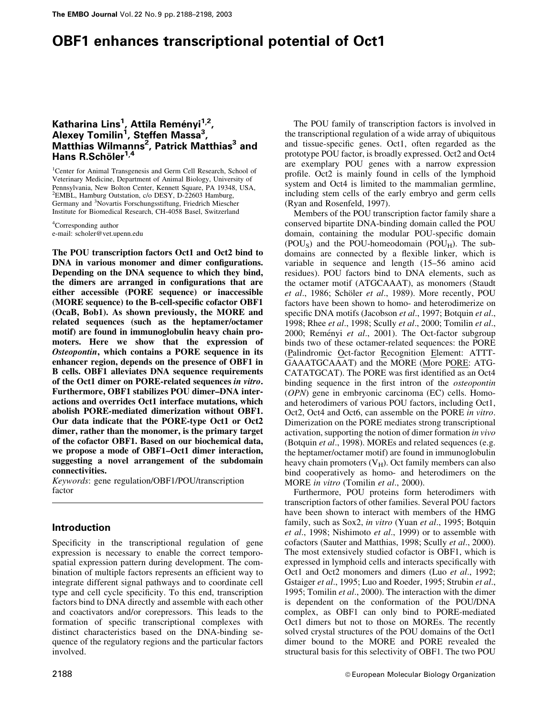# OBF1 enhances transcriptional potential of Oct1

# Katharina Lins<sup>1</sup>, Attila Reményi<sup>1,2</sup>, Alexey Tomilin<sup>1</sup>, Steffen Massa<sup>3</sup>, Matthias Wilmanns<sup>2</sup>, Patrick Matthias<sup>3</sup> and Hans R.Schöler $1,4$

<sup>1</sup>Center for Animal Transgenesis and Germ Cell Research, School of Veterinary Medicine, Department of Animal Biology, University of Pennsylvania, New Bolton Center, Kennett Square, PA 19348, USA, <sup>2</sup>EMBL, Hamburg Outstation, c/o DESY, D-22603 Hamburg, Germany and <sup>3</sup>Novartis Forschungsstiftung, Friedrich Miescher Institute for Biomedical Research, CH-4058 Basel, Switzerland

4 Corresponding author e-mail: scholer@vet.upenn.edu

The POU transcription factors Oct1 and Oct2 bind to DNA in various monomer and dimer configurations. Depending on the DNA sequence to which they bind, the dimers are arranged in configurations that are either accessible (PORE sequence) or inaccessible (MORE sequence) to the B-cell-specific cofactor OBF1 (OcaB, Bob1). As shown previously, the MORE and related sequences (such as the heptamer/octamer motif) are found in immunoglobulin heavy chain promoters. Here we show that the expression of Osteopontin, which contains a PORE sequence in its enhancer region, depends on the presence of OBF1 in B cells. OBF1 alleviates DNA sequence requirements of the Oct1 dimer on PORE-related sequences in vitro. Furthermore, OBF1 stabilizes POU dimer-DNA interactions and overrides Oct1 interface mutations, which abolish PORE-mediated dimerization without OBF1. Our data indicate that the PORE-type Oct1 or Oct2 dimer, rather than the monomer, is the primary target of the cofactor OBF1. Based on our biochemical data, we propose a mode of OBF1–Oct1 dimer interaction, suggesting a novel arrangement of the subdomain connectivities.

Keywords: gene regulation/OBF1/POU/transcription factor

# Introduction

Specificity in the transcriptional regulation of gene expression is necessary to enable the correct temporospatial expression pattern during development. The combination of multiple factors represents an efficient way to integrate different signal pathways and to coordinate cell type and cell cycle specificity. To this end, transcription factors bind to DNA directly and assemble with each other and coactivators and/or corepressors. This leads to the formation of specific transcriptional complexes with distinct characteristics based on the DNA-binding sequence of the regulatory regions and the particular factors involved.

The POU family of transcription factors is involved in the transcriptional regulation of a wide array of ubiquitous and tissue-specific genes. Oct1, often regarded as the prototype POU factor, is broadly expressed. Oct2 and Oct4 are exemplary POU genes with a narrow expression profile. Oct2 is mainly found in cells of the lymphoid system and Oct4 is limited to the mammalian germline, including stem cells of the early embryo and germ cells (Ryan and Rosenfeld, 1997).

Members of the POU transcription factor family share a conserved bipartite DNA-binding domain called the POU domain, containing the modular POU-specific domain (POU<sub>S</sub>) and the POU-homeodomain (POU<sub>H</sub>). The subdomains are connected by a flexible linker, which is variable in sequence and length (15-56 amino acid residues). POU factors bind to DNA elements, such as the octamer motif (ATGCAAAT), as monomers (Staudt et al., 1986; Schöler et al., 1989). More recently, POU factors have been shown to homo- and heterodimerize on specific DNA motifs (Jacobson et al., 1997; Botquin et al., 1998; Rhee et al., 1998; Scully et al., 2000; Tomilin et al., 2000; Reményi et al., 2001). The Oct-factor subgroup binds two of these octamer-related sequences: the PORE (Palindromic Oct-factor Recognition Element: ATTT-GAAATGCAAAT) and the MORE (More PORE: ATG-CATATGCAT). The PORE was first identified as an Oct4 binding sequence in the first intron of the *osteopontin* (OPN) gene in embryonic carcinoma (EC) cells. Homoand heterodimers of various POU factors, including Oct1, Oct2, Oct4 and Oct6, can assemble on the PORE in vitro. Dimerization on the PORE mediates strong transcriptional activation, supporting the notion of dimer formation in vivo (Botquin et al., 1998). MOREs and related sequences (e.g. the heptamer/octamer motif) are found in immunoglobulin heavy chain promoters  $(V_H)$ . Oct family members can also bind cooperatively as homo- and heterodimers on the MORE in vitro (Tomilin et al., 2000).

Furthermore, POU proteins form heterodimers with transcription factors of other families. Several POU factors have been shown to interact with members of the HMG family, such as Sox2, in vitro (Yuan et al., 1995; Botquin et al., 1998; Nishimoto et al., 1999) or to assemble with cofactors (Sauter and Matthias, 1998; Scully et al., 2000). The most extensively studied cofactor is OBF1, which is expressed in lymphoid cells and interacts specifically with Oct1 and Oct2 monomers and dimers (Luo et al., 1992; Gstaiger et al., 1995; Luo and Roeder, 1995; Strubin et al., 1995; Tomilin et al., 2000). The interaction with the dimer is dependent on the conformation of the POU/DNA complex, as OBF1 can only bind to PORE-mediated Oct1 dimers but not to those on MOREs. The recently solved crystal structures of the POU domains of the Oct1 dimer bound to the MORE and PORE revealed the structural basis for this selectivity of OBF1. The two POU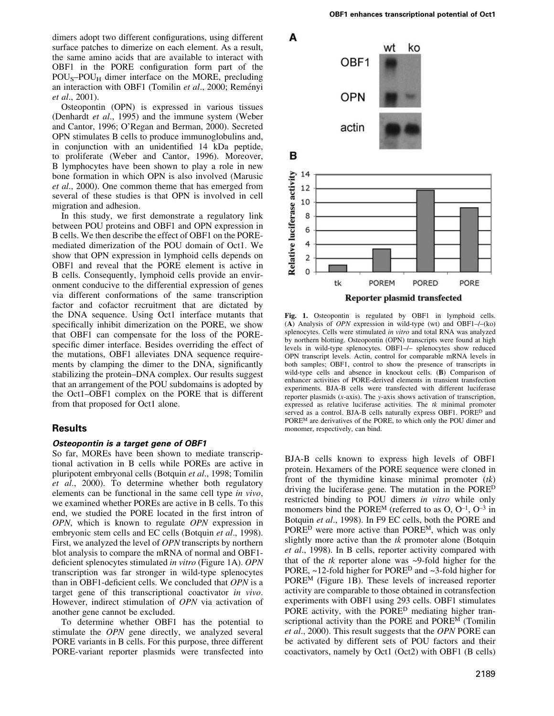dimers adopt two different configurations, using different surface patches to dimerize on each element. As a result, the same amino acids that are available to interact with OBF1 in the PORE configuration form part of the  $POU<sub>S</sub>-POU<sub>H</sub>$  dimer interface on the MORE, precluding an interaction with OBF1 (Tomilin et al., 2000; Reményi et al., 2001).

Osteopontin (OPN) is expressed in various tissues (Denhardt et al., 1995) and the immune system (Weber and Cantor, 1996; O'Regan and Berman, 2000). Secreted OPN stimulates B cells to produce immunoglobulins and, in conjunction with an unidentified 14 kDa peptide, to proliferate (Weber and Cantor, 1996). Moreover, B lymphocytes have been shown to play a role in new bone formation in which OPN is also involved (Marusic et al., 2000). One common theme that has emerged from several of these studies is that OPN is involved in cell migration and adhesion.

In this study, we first demonstrate a regulatory link between POU proteins and OBF1 and OPN expression in B cells. We then describe the effect of OBF1 on the POREmediated dimerization of the POU domain of Oct1. We show that OPN expression in lymphoid cells depends on OBF1 and reveal that the PORE element is active in B cells. Consequently, lymphoid cells provide an environment conducive to the differential expression of genes via different conformations of the same transcription factor and cofactor recruitment that are dictated by the DNA sequence. Using Oct1 interface mutants that specifically inhibit dimerization on the PORE, we show that OBF1 can compensate for the loss of the POREspecific dimer interface. Besides overriding the effect of the mutations, OBF1 alleviates DNA sequence requirements by clamping the dimer to the DNA, significantly stabilizing the protein-DNA complex. Our results suggest that an arrangement of the POU subdomains is adopted by the Oct1-OBF1 complex on the PORE that is different from that proposed for Oct1 alone.

## Results

#### Osteopontin is a target gene of OBF1

So far, MOREs have been shown to mediate transcriptional activation in B cells while POREs are active in pluripotent embryonal cells (Botquin et al., 1998; Tomilin et al., 2000). To determine whether both regulatory elements can be functional in the same cell type in vivo, we examined whether POREs are active in B cells. To this end, we studied the PORE located in the first intron of OPN, which is known to regulate OPN expression in embryonic stem cells and EC cells (Botquin et al., 1998). First, we analyzed the level of OPN transcripts by northern blot analysis to compare the mRNA of normal and OBF1 deficient splenocytes stimulated in vitro (Figure 1A). OPN transcription was far stronger in wild-type splenocytes than in OBF1-deficient cells. We concluded that  $OPN$  is a target gene of this transcriptional coactivator in vivo. However, indirect stimulation of OPN via activation of another gene cannot be excluded.

To determine whether OBF1 has the potential to stimulate the OPN gene directly, we analyzed several PORE variants in B cells. For this purpose, three different PORE-variant reporter plasmids were transfected into



Fig. 1. Osteopontin is regulated by OBF1 in lymphoid cells. (A) Analysis of  $OPN$  expression in wild-type (wt) and OBF1 $-/-$ (ko) splenocytes. Cells were stimulated in vitro and total RNA was analyzed by northern blotting. Osteopontin (OPN) transcripts were found at high levels in wild-type splenocytes. OBF1-/- splenocytes show reduced OPN transcript levels. Actin, control for comparable mRNA levels in both samples; OBF1, control to show the presence of transcripts in wild-type cells and absence in knockout cells. (B) Comparison of enhancer activities of PORE-derived elements in transient transfection experiments. BJA-B cells were transfected with different luciferase reporter plasmids (x-axis). The y-axis shows activation of transcription, expressed as relative luciferase activities. The tk minimal promoter served as a control. BJA-B cells naturally express OBF1. PORE<sup>D</sup> and PORE<sup>M</sup> are derivatives of the PORE, to which only the POU dimer and monomer, respectively, can bind.

BJA-B cells known to express high levels of OBF1 protein. Hexamers of the PORE sequence were cloned in front of the thymidine kinase minimal promoter  $(tk)$ driving the luciferase gene. The mutation in the PORED restricted binding to POU dimers in vitro while only monomers bind the PORE<sup>M</sup> (referred to as  $O, O^{-1}, O^{-3}$  in Botquin et al., 1998). In F9 EC cells, both the PORE and PORED were more active than POREM, which was only slightly more active than the  $tk$  promoter alone (Botquin et al., 1998). In B cells, reporter activity compared with that of the  $tk$  reporter alone was  $\sim$ 9-fold higher for the PORE,  $\sim$ 12-fold higher for PORE<sup>D</sup> and  $\sim$ 3-fold higher for POREM (Figure 1B). These levels of increased reporter activity are comparable to those obtained in cotransfection experiments with OBF1 using 293 cells. OBF1 stimulates PORE activity, with the PORE<sup>D</sup> mediating higher transcriptional activity than the PORE and POREM (Tomilin et al., 2000). This result suggests that the OPN PORE can be activated by different sets of POU factors and their coactivators, namely by Oct1 (Oct2) with OBF1 (B cells)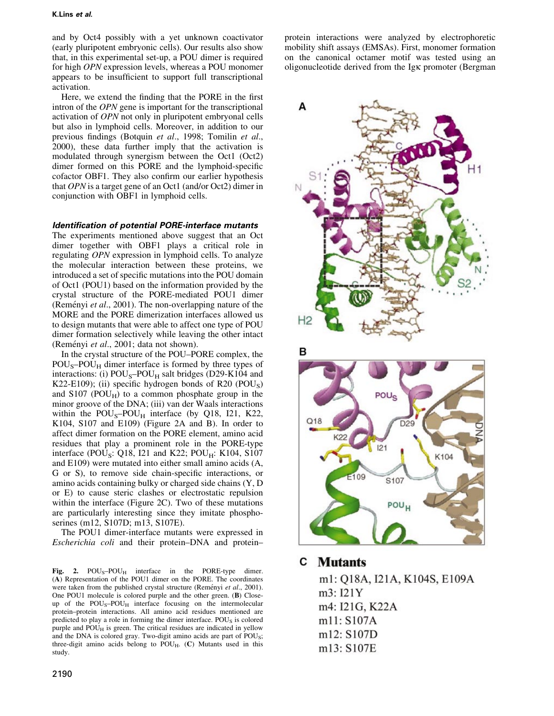and by Oct4 possibly with a yet unknown coactivator (early pluripotent embryonic cells). Our results also show that, in this experimental set-up, a POU dimer is required for high OPN expression levels, whereas a POU monomer appears to be insufficient to support full transcriptional activation.

Here, we extend the finding that the PORE in the first intron of the OPN gene is important for the transcriptional activation of OPN not only in pluripotent embryonal cells but also in lymphoid cells. Moreover, in addition to our previous findings (Botquin et al., 1998; Tomilin et al., 2000), these data further imply that the activation is modulated through synergism between the Oct1 (Oct2) dimer formed on this PORE and the lymphoid-specific cofactor OBF1. They also confirm our earlier hypothesis that OPN is a target gene of an Oct1 (and/or Oct2) dimer in conjunction with OBF1 in lymphoid cells.

#### Identification of potential PORE-interface mutants

The experiments mentioned above suggest that an Oct dimer together with OBF1 plays a critical role in regulating OPN expression in lymphoid cells. To analyze the molecular interaction between these proteins, we introduced a set of specific mutations into the POU domain of Oct1 (POU1) based on the information provided by the crystal structure of the PORE-mediated POU1 dimer (Reményi et al., 2001). The non-overlapping nature of the MORE and the PORE dimerization interfaces allowed us to design mutants that were able to affect one type of POU dimer formation selectively while leaving the other intact (Reményi et al., 2001; data not shown).

In the crystal structure of the POU–PORE complex, the  $POU<sub>S</sub>-POU<sub>H</sub>$  dimer interface is formed by three types of interactions: (i)  $POU_S-POU_H$  salt bridges (D29-K104 and K22-E109); (ii) specific hydrogen bonds of R20 (POU<sub>S</sub>) and  $S107$  (POU<sub>H</sub>) to a common phosphate group in the minor groove of the DNA; (iii) van der Waals interactions within the  $POU_S-POU_H$  interface (by Q18, I21, K22, K104, S107 and E109) (Figure 2A and B). In order to affect dimer formation on the PORE element, amino acid residues that play a prominent role in the PORE-type interface (POU<sub>S</sub>: Q18, I21 and K22; POU<sub>H</sub>: K104, S107 and E109) were mutated into either small amino acids (A, G or S), to remove side chain-specific interactions, or amino acids containing bulky or charged side chains (Y, D or E) to cause steric clashes or electrostatic repulsion within the interface (Figure 2C). Two of these mutations are particularly interesting since they imitate phosphoserines (m12, S107D; m13, S107E).

The POU1 dimer-interface mutants were expressed in Escherichia coli and their protein-DNA and protein-

Fig. 2.  $POU_S-POU_H$  interface in the PORE-type dimer. (A) Representation of the POU1 dimer on the PORE. The coordinates were taken from the published crystal structure (Reményi et al., 2001). One POU1 molecule is colored purple and the other green. (B) Closeup of the  $POU_S-POU_H$  interface focusing on the intermolecular protein-protein interactions. All amino acid residues mentioned are predicted to play a role in forming the dimer interface. POU<sub>S</sub> is colored purple and  $POU<sub>H</sub>$  is green. The critical residues are indicated in yellow and the DNA is colored gray. Two-digit amino acids are part of POU<sub>S</sub>; three-digit amino acids belong to  $POU<sub>H</sub>$ . (C) Mutants used in this study.

protein interactions were analyzed by electrophoretic mobility shift assays (EMSAs). First, monomer formation on the canonical octamer motif was tested using an oligonucleotide derived from the Igk promoter (Bergman



# **C** Mutants

m1: Q18A, I21A, K104S, E109A m3: I21Y m4: I21G, K22A m11: S107A m12: S107D m13: S107E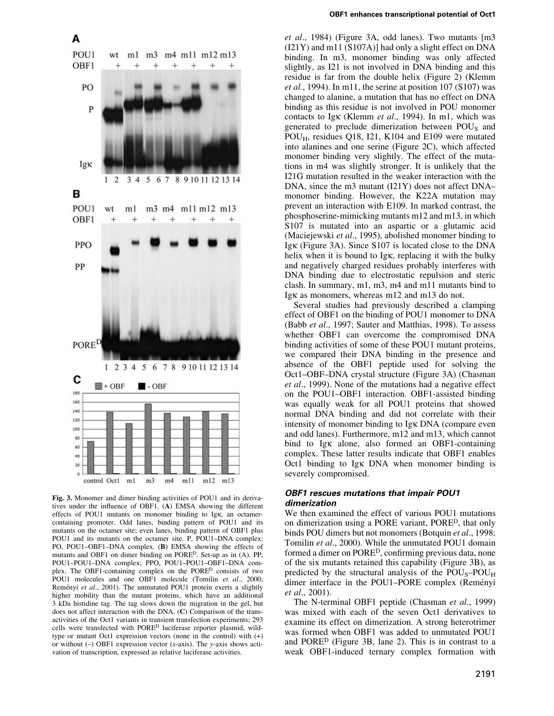



Fig. 3. Monomer and dimer binding activities of POU1 and its derivatives under the influence of OBF1.  $(A)$  EMSA showing the different effects of POU1 mutants on monomer binding to Igk, an octamercontaining promoter. Odd lanes, binding pattern of POU1 and its mutants on the octamer site; even lanes, binding pattern of OBF1 plus POU1 and its mutants on the octamer site. P, POU1-DNA complex; PO, POU1–OBF1–DNA complex. (B) EMSA showing the effects of mutants and OBF1 on dimer binding on PORED. Set-up as in (A). PP, POU1-POU1-DNA complex; PPO, POU1-POU1-OBF1-DNA complex. The OBF1-containing complex on the PORED consists of two POU1 molecules and one OBF1 molecule (Tomilin et al., 2000; Reményi et al., 2001). The unmutated POU1 protein exerts a slightly higher mobility than the mutant proteins, which have an additional 3 kDa histidine tag. The tag slows down the migration in the gel, but does not affect interaction with the DNA. (C) Comparison of the transactivities of the Oct1 variants in transient transfection experiments; 293 cells were transfected with PORED luciferase reporter plasmid, wildtype or mutant Oct1 expression vectors (none in the control) with (+) or without  $(-)$  OBF1 expression vector  $(x\text{-axis})$ . The y-axis shows activation of transcription, expressed as relative luciferase activities.

et al., 1984) (Figure 3A, odd lanes). Two mutants [m3 (I21Y) and m11 (S107A)] had only a slight effect on DNA binding. In m3, monomer binding was only affected slightly, as I21 is not involved in DNA binding and this residue is far from the double helix (Figure 2) (Klemm *et al.*, 1994). In m11, the serine at position 107 (S107) was changed to alanine, a mutation that has no effect on DNA binding as this residue is not involved in POU monomer contacts to Igk (Klemm et al., 1994). In m1, which was generated to preclude dimerization between  $POU<sub>S</sub>$  and POUH, residues Q18, I21, K104 and E109 were mutated into alanines and one serine (Figure 2C), which affected monomer binding very slightly. The effect of the mutations in m4 was slightly stronger. It is unlikely that the I21G mutation resulted in the weaker interaction with the DNA, since the m3 mutant  $(I21Y)$  does not affect DNA $$ monomer binding. However, the K22A mutation may prevent an interaction with E109. In marked contrast, the phosphoserine-mimicking mutants m12 and m13, in which S107 is mutated into an aspartic or a glutamic acid (Maciejewski et al., 1995), abolished monomer binding to Igk (Figure 3A). Since S107 is located close to the DNA helix when it is bound to Igk, replacing it with the bulky and negatively charged residues probably interferes with DNA binding due to electrostatic repulsion and steric clash. In summary, m1, m3, m4 and m11 mutants bind to Igk as monomers, whereas m12 and m13 do not.

Several studies had previously described a clamping effect of OBF1 on the binding of POU1 monomer to DNA (Babb et al., 1997; Sauter and Matthias, 1998). To assess whether OBF1 can overcome the compromised DNA binding activities of some of these POU1 mutant proteins, we compared their DNA binding in the presence and absence of the OBF1 peptide used for solving the Oct1±OBF±DNA crystal structure (Figure 3A) (Chasman et al., 1999). None of the mutations had a negative effect on the POU1–OBF1 interaction. OBF1-assisted binding was equally weak for all POU1 proteins that showed normal DNA binding and did not correlate with their intensity of monomer binding to Igk DNA (compare even and odd lanes). Furthermore, m12 and m13, which cannot bind to Igk alone, also formed an OBF1-containing complex. These latter results indicate that OBF1 enables Oct1 binding to Igk DNA when monomer binding is severely compromised.

#### OBF1 rescues mutations that impair POU1 dimerization

We then examined the effect of various POU1 mutations on dimerization using a PORE variant, PORED, that only binds POU dimers but not monomers (Botquin et al., 1998; Tomilin et al., 2000). While the unmutated POU1 domain formed a dimer on PORE<sup>D</sup>, confirming previous data, none of the six mutants retained this capability (Figure 3B), as predicted by the structural analysis of the  $POU<sub>S</sub>-POU<sub>H</sub>$ dimer interface in the POU1-PORE complex (Reményi et al., 2001).

The N-terminal OBF1 peptide (Chasman et al., 1999) was mixed with each of the seven Oct1 derivatives to examine its effect on dimerization. A strong heterotrimer was formed when OBF1 was added to unmutated POU1 and PORED (Figure 3B, lane 2). This is in contrast to a weak OBF1-induced ternary complex formation with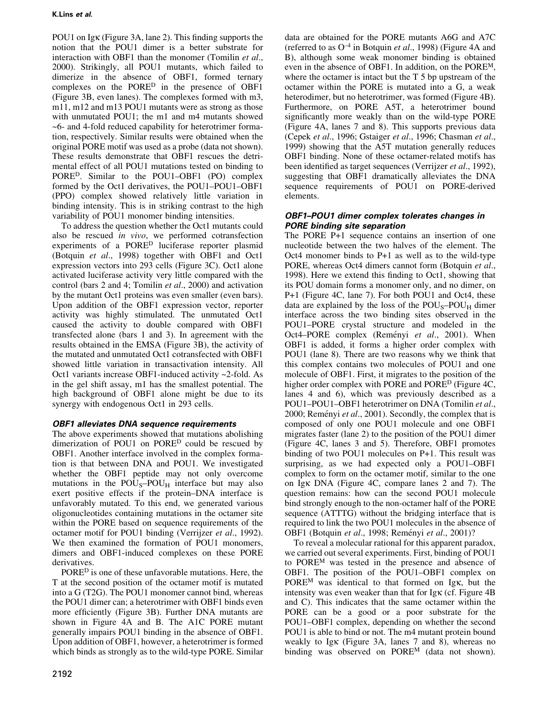POU1 on Igk (Figure 3A, lane 2). This finding supports the notion that the POU1 dimer is a better substrate for interaction with OBF1 than the monomer (Tomilin et al., 2000). Strikingly, all POU1 mutants, which failed to dimerize in the absence of OBF1, formed ternary complexes on the PORED in the presence of OBF1 (Figure 3B, even lanes). The complexes formed with m3, m11, m12 and m13 POU1 mutants were as strong as those with unmutated POU1; the m1 and m4 mutants showed ~6- and 4-fold reduced capability for heterotrimer formation, respectively. Similar results were obtained when the original PORE motif was used as a probe (data not shown). These results demonstrate that OBF1 rescues the detrimental effect of all POU1 mutations tested on binding to PORE<sup>D</sup>. Similar to the POU1–OBF1 (PO) complex formed by the Oct1 derivatives, the POU1-POU1-OBF1 (PPO) complex showed relatively little variation in binding intensity. This is in striking contrast to the high variability of POU1 monomer binding intensities.

To address the question whether the Oct1 mutants could also be rescued in vivo, we performed cotransfection experiments of a PORED luciferase reporter plasmid (Botquin et al., 1998) together with OBF1 and Oct1 expression vectors into 293 cells (Figure 3C). Oct1 alone activated luciferase activity very little compared with the control (bars 2 and 4; Tomilin et al., 2000) and activation by the mutant Oct1 proteins was even smaller (even bars). Upon addition of the OBF1 expression vector, reporter activity was highly stimulated. The unmutated Oct1 caused the activity to double compared with OBF1 transfected alone (bars 1 and 3). In agreement with the results obtained in the EMSA (Figure 3B), the activity of the mutated and unmutated Oct1 cotransfected with OBF1 showed little variation in transactivation intensity. All Oct1 variants increase OBF1-induced activity ~2-fold. As in the gel shift assay, m1 has the smallest potential. The high background of OBF1 alone might be due to its synergy with endogenous Oct1 in 293 cells.

# OBF1 alleviates DNA sequence requirements

The above experiments showed that mutations abolishing dimerization of POU1 on PORED could be rescued by OBF1. Another interface involved in the complex formation is that between DNA and POU1. We investigated whether the OBF1 peptide may not only overcome mutations in the  $POU<sub>S</sub>-POU<sub>H</sub>$  interface but may also exert positive effects if the protein-DNA interface is unfavorably mutated. To this end, we generated various oligonucleotides containing mutations in the octamer site within the PORE based on sequence requirements of the octamer motif for POU1 binding (Verrijzer et al., 1992). We then examined the formation of POU1 monomers, dimers and OBF1-induced complexes on these PORE derivatives.

PORED is one of these unfavorable mutations. Here, the T at the second position of the octamer motif is mutated into a G (T2G). The POU1 monomer cannot bind, whereas the POU1 dimer can; a heterotrimer with OBF1 binds even more efficiently (Figure 3B). Further DNA mutants are shown in Figure 4A and B. The A1C PORE mutant generally impairs POU1 binding in the absence of OBF1. Upon addition of OBF1, however, a heterotrimer is formed which binds as strongly as to the wild-type PORE. Similar

OBF1-POU1 dimer complex tolerates changes in PORE binding site separation The PORE P+1 sequence contains an insertion of one nucleotide between the two halves of the element. The Oct4 monomer binds to P+1 as well as to the wild-type PORE, whereas Oct4 dimers cannot form (Botquin et al., 1998). Here we extend this finding to Oct1, showing that

elements.

its POU domain forms a monomer only, and no dimer, on P+1 (Figure 4C, lane 7). For both POU1 and Oct4, these data are explained by the loss of the  $POU<sub>S</sub>-POU<sub>H</sub>$  dimer interface across the two binding sites observed in the POU1-PORE crystal structure and modeled in the Oct4-PORE complex (Reményi et al., 2001). When OBF1 is added, it forms a higher order complex with POU1 (lane 8). There are two reasons why we think that this complex contains two molecules of POU1 and one molecule of OBF1. First, it migrates to the position of the higher order complex with PORE and PORE<sup>D</sup> (Figure 4C, lanes 4 and 6), which was previously described as a POU1-POU1-OBF1 heterotrimer on DNA (Tomilin et al., 2000; Reményi et al., 2001). Secondly, the complex that is composed of only one POU1 molecule and one OBF1 migrates faster (lane 2) to the position of the POU1 dimer (Figure 4C, lanes 3 and 5). Therefore, OBF1 promotes binding of two POU1 molecules on P+1. This result was surprising, as we had expected only a POU1-OBF1 complex to form on the octamer motif, similar to the one on Igk DNA (Figure 4C, compare lanes 2 and 7). The question remains: how can the second POU1 molecule bind strongly enough to the non-octamer half of the PORE sequence (ATTTG) without the bridging interface that is

data are obtained for the PORE mutants A6G and A7C (referred to as  $O^{-4}$  in Botquin *et al.*, 1998) (Figure 4A and B), although some weak monomer binding is obtained even in the absence of OBF1. In addition, on the POREM, where the octamer is intact but the T 5 bp upstream of the octamer within the PORE is mutated into a G, a weak heterodimer, but no heterotrimer, was formed (Figure 4B). Furthermore, on PORE A5T, a heterotrimer bound significantly more weakly than on the wild-type PORE (Figure 4A, lanes 7 and 8). This supports previous data (Cepek et al., 1996; Gstaiger et al., 1996; Chasman et al., 1999) showing that the A5T mutation generally reduces OBF1 binding. None of these octamer-related motifs has been identified as target sequences (Verrijzer *et al.*, 1992), suggesting that OBF1 dramatically alleviates the DNA sequence requirements of POU1 on PORE-derived

OBF1 (Botquin et al., 1998; Reményi et al., 2001)? To reveal a molecular rational for this apparent paradox, we carried out several experiments. First, binding of POU1 to POREM was tested in the presence and absence of OBF1. The position of the POU1–OBF1 complex on PORE<sup>M</sup> was identical to that formed on Igk, but the intensity was even weaker than that for Igk (cf. Figure 4B and C). This indicates that the same octamer within the PORE can be a good or a poor substrate for the POU1-OBF1 complex, depending on whether the second POU1 is able to bind or not. The m4 mutant protein bound weakly to Igk (Figure 3A, lanes 7 and 8), whereas no binding was observed on POREM (data not shown).

required to link the two POU1 molecules in the absence of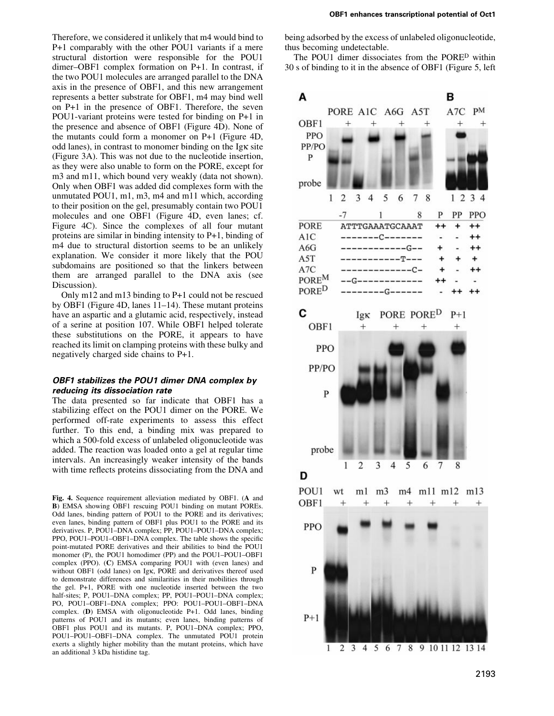Therefore, we considered it unlikely that m4 would bind to P+1 comparably with the other POU1 variants if a mere structural distortion were responsible for the POU1 dimer-OBF1 complex formation on P+1. In contrast, if the two POU1 molecules are arranged parallel to the DNA axis in the presence of OBF1, and this new arrangement represents a better substrate for OBF1, m4 may bind well on P+1 in the presence of OBF1. Therefore, the seven POU1-variant proteins were tested for binding on P+1 in the presence and absence of OBF1 (Figure 4D). None of the mutants could form a monomer on P+1 (Figure 4D, odd lanes), in contrast to monomer binding on the Igk site (Figure 3A). This was not due to the nucleotide insertion, as they were also unable to form on the PORE, except for m3 and m11, which bound very weakly (data not shown). Only when OBF1 was added did complexes form with the unmutated POU1, m1, m3, m4 and m11 which, according to their position on the gel, presumably contain two POU1 molecules and one OBF1 (Figure 4D, even lanes; cf. Figure 4C). Since the complexes of all four mutant proteins are similar in binding intensity to P+1, binding of m4 due to structural distortion seems to be an unlikely explanation. We consider it more likely that the POU subdomains are positioned so that the linkers between them are arranged parallel to the DNA axis (see Discussion).

Only m12 and m13 binding to P+1 could not be rescued by OBF1 (Figure 4D, lanes  $11-14$ ). These mutant proteins have an aspartic and a glutamic acid, respectively, instead of a serine at position 107. While OBF1 helped tolerate these substitutions on the PORE, it appears to have reached its limit on clamping proteins with these bulky and negatively charged side chains to P+1.

#### OBF1 stabilizes the POU1 dimer DNA complex by reducing its dissociation rate

The data presented so far indicate that OBF1 has a stabilizing effect on the POU1 dimer on the PORE. We performed off-rate experiments to assess this effect further. To this end, a binding mix was prepared to which a 500-fold excess of unlabeled oligonucleotide was added. The reaction was loaded onto a gel at regular time intervals. An increasingly weaker intensity of the bands with time reflects proteins dissociating from the DNA and

Fig. 4. Sequence requirement alleviation mediated by OBF1. (A and B) EMSA showing OBF1 rescuing POU1 binding on mutant POREs. Odd lanes, binding pattern of POU1 to the PORE and its derivatives; even lanes, binding pattern of OBF1 plus POU1 to the PORE and its derivatives. P, POU1-DNA complex; PP, POU1-POU1-DNA complex; PPO, POU1-POU1-OBF1-DNA complex. The table shows the specific point-mutated PORE derivatives and their abilities to bind the POU1 monomer (P), the POU1 homodimer (PP) and the POU1-POU1-OBF1 complex (PPO). (C) EMSA comparing POU1 with (even lanes) and without OBF1 (odd lanes) on Igk, PORE and derivatives thereof used to demonstrate differences and similarities in their mobilities through the gel. P+1, PORE with one nucleotide inserted between the two half-sites; P, POU1-DNA complex; PP, POU1-POU1-DNA complex; PO, POU1-OBF1-DNA complex; PPO: POU1-POU1-OBF1-DNA complex. (D) EMSA with oligonucleotide P+1. Odd lanes, binding patterns of POU1 and its mutants; even lanes, binding patterns of OBF1 plus POU1 and its mutants. P, POU1-DNA complex; PPO, POU1-POU1-OBF1-DNA complex. The unmutated POU1 protein exerts a slightly higher mobility than the mutant proteins, which have an additional 3 kDa histidine tag.

being adsorbed by the excess of unlabeled oligonucleotide, thus becoming undetectable.

The POU1 dimer dissociates from the PORED within 30 s of binding to it in the absence of OBF1 (Figure 5, left

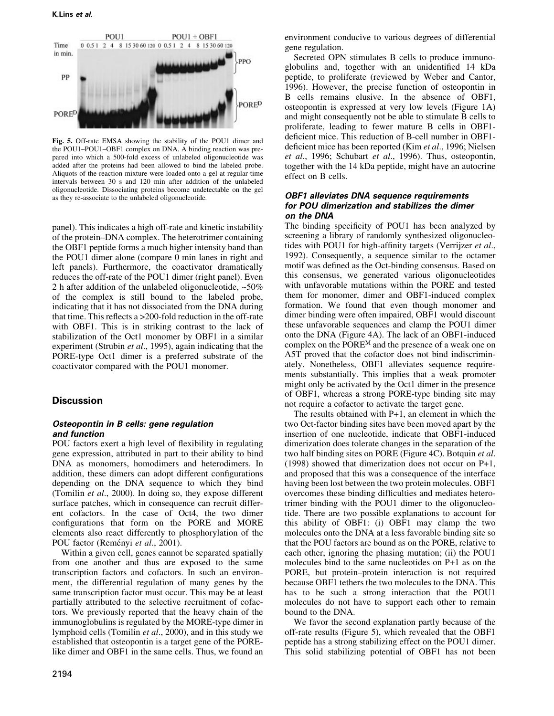

Fig. 5. Off-rate EMSA showing the stability of the POU1 dimer and the POU1-POU1-OBF1 complex on DNA. A binding reaction was prepared into which a 500-fold excess of unlabeled oligonucleotide was added after the proteins had been allowed to bind the labeled probe. Aliquots of the reaction mixture were loaded onto a gel at regular time intervals between 30 s and 120 min after addition of the unlabeled oligonucleotide. Dissociating proteins become undetectable on the gel as they re-associate to the unlabeled oligonucleotide.

panel). This indicates a high off-rate and kinetic instability of the protein-DNA complex. The heterotrimer containing the OBF1 peptide forms a much higher intensity band than the POU1 dimer alone (compare 0 min lanes in right and left panels). Furthermore, the coactivator dramatically reduces the off-rate of the POU1 dimer (right panel). Even 2 h after addition of the unlabeled oligonucleotide, ~50% of the complex is still bound to the labeled probe, indicating that it has not dissociated from the DNA during that time. This reflects a  $>$  200-fold reduction in the off-rate with OBF1. This is in striking contrast to the lack of stabilization of the Oct1 monomer by OBF1 in a similar experiment (Strubin et al., 1995), again indicating that the PORE-type Oct1 dimer is a preferred substrate of the coactivator compared with the POU1 monomer.

## Discussion

#### Osteopontin in B cells: gene regulation and function

POU factors exert a high level of flexibility in regulating gene expression, attributed in part to their ability to bind DNA as monomers, homodimers and heterodimers. In addition, these dimers can adopt different configurations depending on the DNA sequence to which they bind (Tomilin et al., 2000). In doing so, they expose different surface patches, which in consequence can recruit different cofactors. In the case of Oct4, the two dimer configurations that form on the PORE and MORE elements also react differently to phosphorylation of the POU factor (Reményi et al., 2001).

Within a given cell, genes cannot be separated spatially from one another and thus are exposed to the same transcription factors and cofactors. In such an environment, the differential regulation of many genes by the same transcription factor must occur. This may be at least partially attributed to the selective recruitment of cofactors. We previously reported that the heavy chain of the immunoglobulins is regulated by the MORE-type dimer in lymphoid cells (Tomilin et al., 2000), and in this study we established that osteopontin is a target gene of the PORElike dimer and OBF1 in the same cells. Thus, we found an

environment conducive to various degrees of differential gene regulation.

Secreted OPN stimulates B cells to produce immunoglobulins and, together with an unidentified 14 kDa peptide, to proliferate (reviewed by Weber and Cantor, 1996). However, the precise function of osteopontin in B cells remains elusive. In the absence of OBF1, osteopontin is expressed at very low levels (Figure 1A) and might consequently not be able to stimulate B cells to proliferate, leading to fewer mature B cells in OBF1 deficient mice. This reduction of B-cell number in OBF1deficient mice has been reported (Kim et al., 1996; Nielsen et al., 1996; Schubart et al., 1996). Thus, osteopontin, together with the 14 kDa peptide, might have an autocrine effect on B cells.

### OBF1 alleviates DNA sequence requirements for POU dimerization and stabilizes the dimer on the DNA

The binding specificity of POU1 has been analyzed by screening a library of randomly synthesized oligonucleotides with POU1 for high-affinity targets (Verrijzer et al., 1992). Consequently, a sequence similar to the octamer motif was defined as the Oct-binding consensus. Based on this consensus, we generated various oligonucleotides with unfavorable mutations within the PORE and tested them for monomer, dimer and OBF1-induced complex formation. We found that even though monomer and dimer binding were often impaired, OBF1 would discount these unfavorable sequences and clamp the POU1 dimer onto the DNA (Figure 4A). The lack of an OBF1-induced complex on the POREM and the presence of a weak one on A5T proved that the cofactor does not bind indiscriminately. Nonetheless, OBF1 alleviates sequence requirements substantially. This implies that a weak promoter might only be activated by the Oct1 dimer in the presence of OBF1, whereas a strong PORE-type binding site may not require a cofactor to activate the target gene.

The results obtained with P+1, an element in which the two Oct-factor binding sites have been moved apart by the insertion of one nucleotide, indicate that OBF1-induced dimerization does tolerate changes in the separation of the two half binding sites on PORE (Figure 4C). Botquin et al. (1998) showed that dimerization does not occur on P+1, and proposed that this was a consequence of the interface having been lost between the two protein molecules. OBF1 overcomes these binding difficulties and mediates heterotrimer binding with the POU1 dimer to the oligonucleotide. There are two possible explanations to account for this ability of OBF1: (i) OBF1 may clamp the two molecules onto the DNA at a less favorable binding site so that the POU factors are bound as on the PORE, relative to each other, ignoring the phasing mutation; (ii) the POU1 molecules bind to the same nucleotides on P+1 as on the PORE, but protein-protein interaction is not required because OBF1 tethers the two molecules to the DNA. This has to be such a strong interaction that the POU1 molecules do not have to support each other to remain bound to the DNA.

We favor the second explanation partly because of the off-rate results (Figure 5), which revealed that the OBF1 peptide has a strong stabilizing effect on the POU1 dimer. This solid stabilizing potential of OBF1 has not been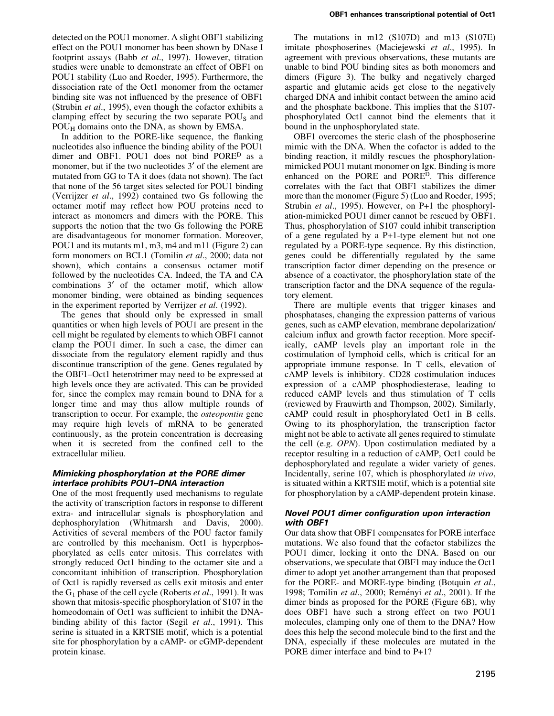detected on the POU1 monomer. A slight OBF1 stabilizing effect on the POU1 monomer has been shown by DNase I footprint assays (Babb et al., 1997). However, titration studies were unable to demonstrate an effect of OBF1 on POU1 stability (Luo and Roeder, 1995). Furthermore, the dissociation rate of the Oct1 monomer from the octamer binding site was not influenced by the presence of OBF1 (Strubin et al., 1995), even though the cofactor exhibits a clamping effect by securing the two separate  $POU<sub>S</sub>$  and POU<sub>H</sub> domains onto the DNA, as shown by EMSA.

In addition to the PORE-like sequence, the flanking nucleotides also influence the binding ability of the POU1 dimer and OBF1. POU1 does not bind PORED as a monomer, but if the two nucleotides 3' of the element are mutated from GG to TA it does (data not shown). The fact that none of the 56 target sites selected for POU1 binding (Verrijzer et al., 1992) contained two Gs following the octamer motif may reflect how POU proteins need to interact as monomers and dimers with the PORE. This supports the notion that the two Gs following the PORE are disadvantageous for monomer formation. Moreover, POU1 and its mutants m1, m3, m4 and m11 (Figure 2) can form monomers on BCL1 (Tomilin et al., 2000; data not shown), which contains a consensus octamer motif followed by the nucleotides CA. Indeed, the TA and CA combinations 3' of the octamer motif, which allow monomer binding, were obtained as binding sequences in the experiment reported by Verrijzer et al. (1992).

The genes that should only be expressed in small quantities or when high levels of POU1 are present in the cell might be regulated by elements to which OBF1 cannot clamp the POU1 dimer. In such a case, the dimer can dissociate from the regulatory element rapidly and thus discontinue transcription of the gene. Genes regulated by the OBF1–Oct1 heterotrimer may need to be expressed at high levels once they are activated. This can be provided for, since the complex may remain bound to DNA for a longer time and may thus allow multiple rounds of transcription to occur. For example, the osteopontin gene may require high levels of mRNA to be generated continuously, as the protein concentration is decreasing when it is secreted from the confined cell to the extracellular milieu.

### Mimicking phosphorylation at the PORE dimer interface prohibits POU1-DNA interaction

One of the most frequently used mechanisms to regulate the activity of transcription factors in response to different extra- and intracellular signals is phosphorylation and dephosphorylation (Whitmarsh and Davis, 2000). Activities of several members of the POU factor family are controlled by this mechanism. Oct1 is hyperphosphorylated as cells enter mitosis. This correlates with strongly reduced Oct1 binding to the octamer site and a concomitant inhibition of transcription. Phosphorylation of Oct1 is rapidly reversed as cells exit mitosis and enter the  $G_1$  phase of the cell cycle (Roberts *et al.*, 1991). It was shown that mitosis-specific phosphorylation of S107 in the homeodomain of Oct1 was sufficient to inhibit the DNAbinding ability of this factor (Segil et al., 1991). This serine is situated in a KRTSIE motif, which is a potential site for phosphorylation by a cAMP- or cGMP-dependent protein kinase.

The mutations in m12 (S107D) and m13 (S107E) imitate phosphoserines (Maciejewski et al., 1995). In agreement with previous observations, these mutants are unable to bind POU binding sites as both monomers and dimers (Figure 3). The bulky and negatively charged aspartic and glutamic acids get close to the negatively charged DNA and inhibit contact between the amino acid and the phosphate backbone. This implies that the S107 phosphorylated Oct1 cannot bind the elements that it bound in the unphosphorylated state.

OBF1 overcomes the steric clash of the phosphoserine mimic with the DNA. When the cofactor is added to the binding reaction, it mildly rescues the phosphorylationmimicked POU1 mutant monomer on Igk. Binding is more enhanced on the PORE and PORE<sup>D</sup>. This difference correlates with the fact that OBF1 stabilizes the dimer more than the monomer (Figure 5) (Luo and Roeder, 1995; Strubin et al., 1995). However, on P+1 the phosphorylation-mimicked POU1 dimer cannot be rescued by OBF1. Thus, phosphorylation of S107 could inhibit transcription of a gene regulated by a P+1-type element but not one regulated by a PORE-type sequence. By this distinction, genes could be differentially regulated by the same transcription factor dimer depending on the presence or absence of a coactivator, the phosphorylation state of the transcription factor and the DNA sequence of the regulatory element.

There are multiple events that trigger kinases and phosphatases, changing the expression patterns of various genes, such as cAMP elevation, membrane depolarization/ calcium influx and growth factor reception. More specifically, cAMP levels play an important role in the costimulation of lymphoid cells, which is critical for an appropriate immune response. In T cells, elevation of cAMP levels is inhibitory. CD28 costimulation induces expression of a cAMP phosphodiesterase, leading to reduced cAMP levels and thus stimulation of T cells (reviewed by Frauwirth and Thompson, 2002). Similarly, cAMP could result in phosphorylated Oct1 in B cells. Owing to its phosphorylation, the transcription factor might not be able to activate all genes required to stimulate the cell (e.g. OPN). Upon costimulation mediated by a receptor resulting in a reduction of cAMP, Oct1 could be dephosphorylated and regulate a wider variety of genes. Incidentally, serine 107, which is phosphorylated in vivo, is situated within a KRTSIE motif, which is a potential site for phosphorylation by a cAMP-dependent protein kinase.

## Novel POU1 dimer configuration upon interaction with OBF1

Our data show that OBF1 compensates for PORE interface mutations. We also found that the cofactor stabilizes the POU1 dimer, locking it onto the DNA. Based on our observations, we speculate that OBF1 may induce the Oct1 dimer to adopt yet another arrangement than that proposed for the PORE- and MORE-type binding (Botquin et al., 1998; Tomilin et al., 2000; Reményi et al., 2001). If the dimer binds as proposed for the PORE (Figure 6B), why does OBF1 have such a strong effect on two POU1 molecules, clamping only one of them to the DNA? How does this help the second molecule bind to the first and the DNA, especially if these molecules are mutated in the PORE dimer interface and bind to P+1?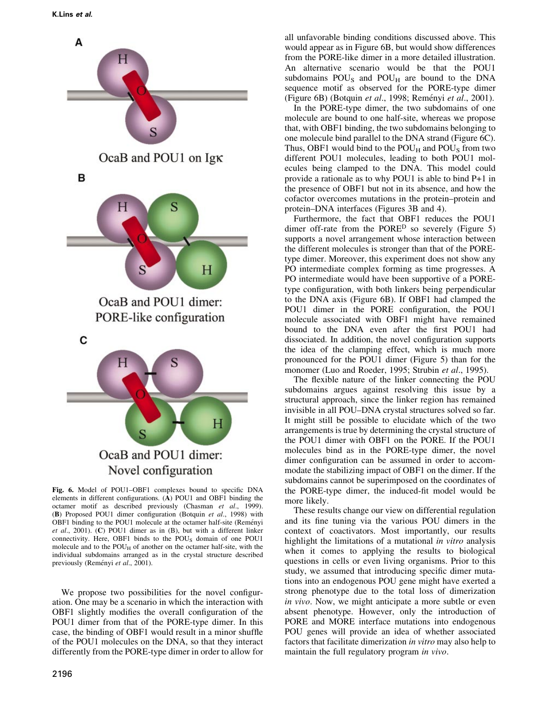

Fig. 6. Model of POU1-OBF1 complexes bound to specific DNA elements in different configurations. (A) POU1 and OBF1 binding the octamer motif as described previously (Chasman et al., 1999). (B) Proposed POU1 dimer configuration (Botquin et al., 1998) with OBF1 binding to the POU1 molecule at the octamer half-site (Reményi et al., 2001). (C) POU1 dimer as in (B), but with a different linker connectivity. Here, OBF1 binds to the POUS domain of one POU1 molecule and to the POUH of another on the octamer half-site, with the individual subdomains arranged as in the crystal structure described previously (Reményi et al., 2001).

We propose two possibilities for the novel configuration. One may be a scenario in which the interaction with OBF1 slightly modifies the overall configuration of the POU1 dimer from that of the PORE-type dimer. In this case, the binding of OBF1 would result in a minor shuffle of the POU1 molecules on the DNA, so that they interact differently from the PORE-type dimer in order to allow for all unfavorable binding conditions discussed above. This would appear as in Figure 6B, but would show differences from the PORE-like dimer in a more detailed illustration. An alternative scenario would be that the POU1 subdomains  $POU<sub>S</sub>$  and  $POU<sub>H</sub>$  are bound to the DNA sequence motif as observed for the PORE-type dimer (Figure 6B) (Botquin et al., 1998; Reményi et al., 2001).

In the PORE-type dimer, the two subdomains of one molecule are bound to one half-site, whereas we propose that, with OBF1 binding, the two subdomains belonging to one molecule bind parallel to the DNA strand (Figure 6C). Thus, OBF1 would bind to the  $POU_H$  and  $POU_S$  from two different POU1 molecules, leading to both POU1 molecules being clamped to the DNA. This model could provide a rationale as to why POU1 is able to bind P+1 in the presence of OBF1 but not in its absence, and how the cofactor overcomes mutations in the protein-protein and protein-DNA interfaces (Figures 3B and 4).

Furthermore, the fact that OBF1 reduces the POU1 dimer off-rate from the PORE<sup>D</sup> so severely (Figure 5) supports a novel arrangement whose interaction between the different molecules is stronger than that of the POREtype dimer. Moreover, this experiment does not show any PO intermediate complex forming as time progresses. A PO intermediate would have been supportive of a POREtype configuration, with both linkers being perpendicular to the DNA axis (Figure 6B). If OBF1 had clamped the POU1 dimer in the PORE configuration, the POU1 molecule associated with OBF1 might have remained bound to the DNA even after the first POU1 had dissociated. In addition, the novel configuration supports the idea of the clamping effect, which is much more pronounced for the POU1 dimer (Figure 5) than for the monomer (Luo and Roeder, 1995; Strubin et al., 1995).

The flexible nature of the linker connecting the POU subdomains argues against resolving this issue by a structural approach, since the linker region has remained invisible in all POU–DNA crystal structures solved so far. It might still be possible to elucidate which of the two arrangements is true by determining the crystal structure of the POU1 dimer with OBF1 on the PORE. If the POU1 molecules bind as in the PORE-type dimer, the novel dimer configuration can be assumed in order to accommodate the stabilizing impact of OBF1 on the dimer. If the subdomains cannot be superimposed on the coordinates of the PORE-type dimer, the induced-fit model would be more likely.

These results change our view on differential regulation and its fine tuning via the various POU dimers in the context of coactivators. Most importantly, our results highlight the limitations of a mutational in vitro analysis when it comes to applying the results to biological questions in cells or even living organisms. Prior to this study, we assumed that introducing specific dimer mutations into an endogenous POU gene might have exerted a strong phenotype due to the total loss of dimerization in vivo. Now, we might anticipate a more subtle or even absent phenotype. However, only the introduction of PORE and MORE interface mutations into endogenous POU genes will provide an idea of whether associated factors that facilitate dimerization in vitro may also help to maintain the full regulatory program in vivo.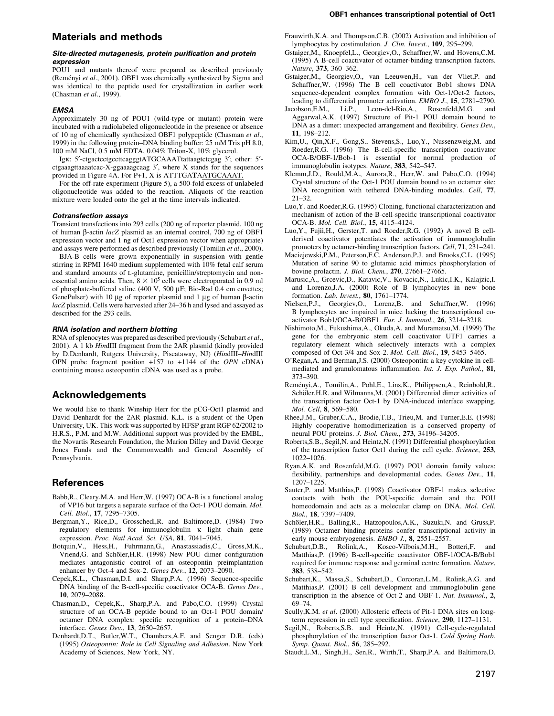#### Site-directed mutagenesis, protein purification and protein expression

POU1 and mutants thereof were prepared as described previously (Reményi et al., 2001). OBF1 was chemically synthesized by Sigma and was identical to the peptide used for crystallization in earlier work (Chasman et al., 1999).

#### **EMSA**

Approximately 30 ng of POU1 (wild-type or mutant) protein were incubated with a radiolabeled oligonucleotide in the presence or absence of 10 ng of chemically synthesized OBF1 polypeptide (Chasman et al., 1999) in the following protein-DNA binding buffer: 25 mM Tris pH 8.0, 100 mM NaCl, 0.5 mM EDTA, 0.04% Triton-X, 10% glycerol.

Igk: 5'-ctgactcctgccttcagggtATGCAAATtattaagtctcgag 3'; other: 5'ctgaaagttaaaatcac-X-ggaaaagcaag 3¢, where X stands for the sequences provided in Figure 4A. For P+1, X is ATTTGATAATGCAAAT.

For the off-rate experiment (Figure 5), a 500-fold excess of unlabeled oligonucleotide was added to the reaction. Aliquots of the reaction mixture were loaded onto the gel at the time intervals indicated.

#### Cotransfection assays

Transient transfections into 293 cells (200 ng of reporter plasmid, 100 ng of human  $\beta$ -actin *lacZ* plasmid as an internal control, 700 ng of OBF1 expression vector and 1 ng of Oct1 expression vector when appropriate) and assays were performed as described previously (Tomilin et al., 2000).

BJA-B cells were grown exponentially in suspension with gentle stirring in RPMI 1640 medium supplemented with 10% fetal calf serum and standard amounts of L-glutamine, penicillin/streptomycin and nonessential amino acids. Then,  $8 \times 10^5$  cells were electroporated in 0.9 ml of phosphate-buffered saline (400 V, 500  $\mu$ F; Bio-Rad 0.4 cm cuvettes; GenePulser) with 10  $\mu$ g of reporter plasmid and 1  $\mu$ g of human  $\beta$ -actin lacZ plasmid. Cells were harvested after 24-36 h and lysed and assayed as described for the 293 cells.

#### RNA isolation and northern blotting

RNA of splenocytes was prepared as described previously (Schubart et al., 2001). A 1 kb HindIII fragment from the 2AR plasmid (kindly provided by D.Denhardt, Rutgers University, Piscataway, NJ) (HindIII-HindIII OPN probe fragment position +157 to +1144 of the OPN cDNA) containing mouse osteopontin cDNA was used as a probe.

# Acknowledgements

We would like to thank Winship Herr for the pCG-Oct1 plasmid and David Denhardt for the 2AR plasmid. K.L. is a student of the Open University, UK. This work was supported by HFSP grant RGP 62/2002 to H.R.S., P.M. and M.W. Additional support was provided by the EMBL, the Novartis Research Foundation, the Marion Dilley and David George Jones Funds and the Commonwealth and General Assembly of Pennsylvania.

## **References**

- Babb,R., Cleary,M.A. and Herr,W. (1997) OCA-B is a functional analog of VP16 but targets a separate surface of the Oct-1 POU domain. Mol. Cell. Biol., 17, 7295-7305.
- Bergman,Y., Rice,D., Grosschedl,R. and Baltimore,D. (1984) Two regulatory elements for immunoglobulin  $\kappa$  light chain gene expression. Proc. Natl Acad. Sci. USA, 81, 7041-7045.
- Botquin,V., Hess,H., Fuhrmann,G., Anastassiadis,C., Gross,M.K., Vriend,G. and Schöler,H.R. (1998) New POU dimer configuration mediates antagonistic control of an osteopontin preimplantation enhancer by Oct-4 and Sox-2. Genes Dev.,  $12$ , 2073-2090.
- Cepek, K.L., Chasman, D.I. and Sharp, P.A. (1996) Sequence-specific  $\overline{DNA}$  binding of the B-cell-specific coactivator OCA-B. Genes Dev., 10, 2079-2088.
- Chasman,D., Cepek,K., Sharp,P.A. and Pabo,C.O. (1999) Crystal structure of an OCA-B peptide bound to an Oct-1 POU domain/ octamer DNA complex: specific recognition of a protein-DNA interface. Genes Dev., 13, 2650-2657.
- Denhardt,D.T., Butler,W.T., Chambers,A.F. and Senger D.R. (eds) (1995) Osteopontin: Role in Cell Signaling and Adhesion. New York Academy of Sciences, New York, NY.
- Frauwirth,K.A. and Thompson,C.B. (2002) Activation and inhibition of lymphocytes by costimulation. J. Clin. Invest., 109, 295-299.
- Gstaiger,M., Knoepfel,L., Georgiev,O., Schaffner,W. and Hovens,C.M. (1995) A B-cell coactivator of octamer-binding transcription factors. Nature, 373, 360-362.
- Gstaiger,M., Georgiev,O., van Leeuwen,H., van der Vliet,P. and Schaffner,W. (1996) The B cell coactivator Bob1 shows DNA sequence-dependent complex formation with Oct-1/Oct-2 factors, leading to differential promoter activation. *EMBO J.*, **15**, 2781–2790.<br>cobson,E.M., Li,P., Leon-del-Rio,A., Rosenfeld,M.G. and
- Jacobson,E.M., Li,P., Leon-del-Rio,A., Rosenfeld,M.G. and Aggarwal,A.K. (1997) Structure of Pit-1 POU domain bound to DNA as a dimer: unexpected arrangement and flexibility. Genes Dev., 11, 198±212.
- Kim,U., Qin,X.F., Gong,S., Stevens,S., Luo,Y., Nussenzweig,M. and Roeder, R.G. (1996) The B-cell-specific transcription coactivator OCA-B/OBF-1/Bob-1 is essential for normal production of immunoglobulin isotypes. Nature, 383, 542-547.
- Klemm,J.D., Rould,M.A., Aurora,R., Herr,W. and Pabo,C.O. (1994) Crystal structure of the Oct-1 POU domain bound to an octamer site: DNA recognition with tethered DNA-binding modules. Cell, 77,  $21 - 32$ .
- Luo,Y. and Roeder,R.G. (1995) Cloning, functional characterization and mechanism of action of the B-cell-specific transcriptional coactivator OCA-B. Mol. Cell. Biol., 15, 4115-4124.
- Luo,Y., Fujii,H., Gerster,T. and Roeder,R.G. (1992) A novel B cellderived coactivator potentiates the activation of immunoglobulin promoters by octamer-binding transcription factors. Cell, 71, 231-241.
- Maciejewski,P.M., Peterson,F.C. Anderson,P.J. and Brooks,C.L. (1995) Mutation of serine 90 to glutamic acid mimics phosphorylation of bovine prolactin. J. Biol. Chem., 270, 27661-27665.
- Marusic,A., Grcevic,D., Katavic,V., Kovacic,N., Lukic,I.K., Kalajzic,I. and Lorenzo,J.A. (2000) Role of B lymphocytes in new bone formation. Lab. Invest., 80, 1761-1774.
- Nielsen,P.J., Georgiev,O., Lorenz,B. and Schaffner,W. (1996) B lymphocytes are impaired in mice lacking the transcriptional coactivator Bob1/OCA-B/OBF1. Eur. J. Immunol., 26, 3214-3218.
- Nishimoto,M., Fukushima,A., Okuda,A. and Muramatsu,M. (1999) The gene for the embryonic stem cell coactivator UTF1 carries a regulatory element which selectively interacts with a complex composed of Oct-3/4 and Sox-2. Mol. Cell. Biol., 19, 5453-5465.
- O'Regan,A. and Berman,J.S. (2000) Osteopontin: a key cytokine in cellmediated and granulomatous inflammation. Int. J. Exp. Pathol., 81, 373±390.
- Reményi,A., Tomilin,A., Pohl,E., Lins,K., Philippsen,A., Reinbold,R., Schöler, H.R. and Wilmanns, M. (2001) Differential dimer activities of the transcription factor Oct-1 by DNA-induced interface swapping. Mol. Cell, 8, 569-580.
- Rhee,J.M., Gruber,C.A., Brodie,T.B., Trieu,M. and Turner,E.E. (1998) Highly cooperative homodimerization is a conserved property of neural POU proteins. J. Biol. Chem., 273, 34196-34205.
- Roberts,S.B., Segil,N. and Heintz,N. (1991) Differential phosphorylation of the transcription factor Oct1 during the cell cycle. Science, 253, 1022±1026.
- Ryan,A.K. and Rosenfeld,M.G. (1997) POU domain family values: flexibility, partnerships and developmental codes. Genes Dev., 11, 1207±1225.
- Sauter,P. and Matthias,P. (1998) Coactivator OBF-1 makes selective contacts with both the POU-specific domain and the POU homeodomain and acts as a molecular clamp on DNA. Mol. Cell. Biol., 18, 7397-7409.
- Schöler, H.R., Balling, R., Hatzopoulos, A.K., Suzuki, N. and Gruss, P. (1989) Octamer binding proteins confer transcriptional activity in early mouse embryogenesis.  $EMBO$  J., 8, 2551–2557.
- Schubart,D.B., Rolink,A., Kosco-Vilbois,M.H., Botteri,F. and Matthias,P. (1996) B-cell-specific coactivator OBF-1/OCA-B/Bob1 required for immune response and germinal centre formation. Nature, 383, 538±542.
- Schubart,K., Massa,S., Schubart,D., Corcoran,L.M., Rolink,A.G. and Matthias,P. (2001) B cell development and immunoglobulin gene transcription in the absence of Oct-2 and OBF-1. Nat. Immunol., 2, 69±74.
- Scully,K.M. et al. (2000) Allosteric effects of Pit-1 DNA sites on longterm repression in cell type specification. Science, 290, 1127-1131.
- Segil,N., Roberts,S.B. and Heintz,N. (1991) Cell-cycle-regulated phosphorylation of the transcription factor Oct-1. Cold Spring Harb. Symp. Quant. Biol., 56, 285-292.
- Staudt,L.M., Singh,H., Sen,R., Wirth,T., Sharp,P.A. and Baltimore,D.